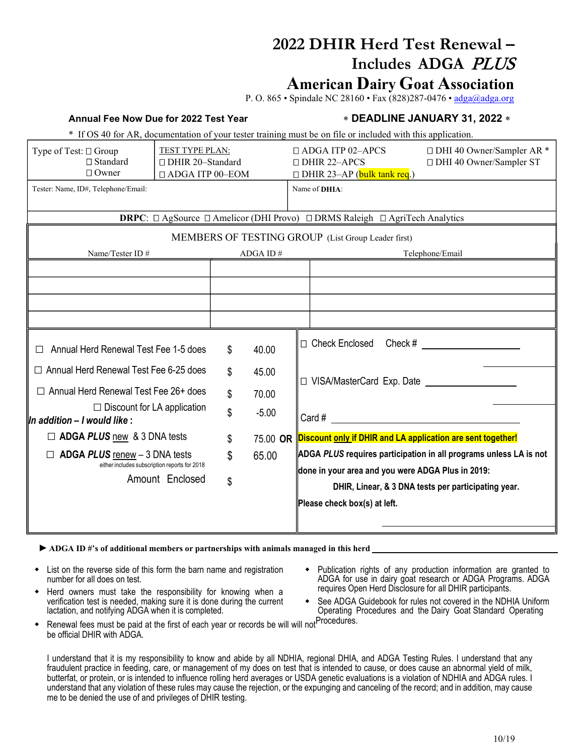# **2022 DHIR Herd Test Renewal – Includes ADGA** PLUS

## **American Dairy Goat Association**

P. O. 865 • Spindale NC 28160 • Fax (828)287-0476 • [adga@adga.org](mailto:adga@adga.org)

### **Annual Fee Now Due for 2022 Test Year** ∗ **DEADLINE JANUARY 31, 2022** ∗

\* If OS 40 for AR, documentation of your tester training must be on file or included with this application.

| Type of Test: □ Group<br>$\Box$ Standard<br>$\Box$ Owner                                    | TEST TYPE PLAN:<br>□ DHIR 20-Standard<br>□ ADGA ITP 00-EOM                                              |             |          | $\Box$ ADGA ITP 02-APCS<br>$\Box$ DHIR 22-APCS<br>$\Box$ DHIR 23-AP (bulk tank req.) |                                                                                                          | □ DHI 40 Owner/Sampler AR *<br>□ DHI 40 Owner/Sampler ST |  |
|---------------------------------------------------------------------------------------------|---------------------------------------------------------------------------------------------------------|-------------|----------|--------------------------------------------------------------------------------------|----------------------------------------------------------------------------------------------------------|----------------------------------------------------------|--|
| Tester: Name, ID#, Telephone/Email:                                                         |                                                                                                         |             |          |                                                                                      | Name of <b>DHIA</b> :                                                                                    |                                                          |  |
|                                                                                             | <b>DRPC</b> : $\Box$ AgSource $\Box$ Amelicor (DHI Provo) $\Box$ DRMS Raleigh $\Box$ AgriTech Analytics |             |          |                                                                                      |                                                                                                          |                                                          |  |
| MEMBERS OF TESTING GROUP (List Group Leader first)                                          |                                                                                                         |             |          |                                                                                      |                                                                                                          |                                                          |  |
| Name/Tester ID#                                                                             |                                                                                                         | ADGA ID $#$ |          |                                                                                      | Telephone/Email                                                                                          |                                                          |  |
|                                                                                             |                                                                                                         |             |          |                                                                                      |                                                                                                          |                                                          |  |
|                                                                                             |                                                                                                         |             |          |                                                                                      |                                                                                                          |                                                          |  |
|                                                                                             |                                                                                                         |             |          |                                                                                      |                                                                                                          |                                                          |  |
|                                                                                             |                                                                                                         |             |          |                                                                                      |                                                                                                          |                                                          |  |
| Annual Herd Renewal Test Fee 1-5 does                                                       |                                                                                                         | \$          | 40.00    |                                                                                      | $\Box$ Check Enclosed Check #                                                                            |                                                          |  |
| $\Box$ Annual Herd Renewal Test Fee 6-25 does                                               |                                                                                                         | \$          | 45.00    |                                                                                      | $\Box$ VISA/MasterCard Exp. Date                                                                         |                                                          |  |
| $\Box$ Annual Herd Renewal Test Fee 26+ does                                                |                                                                                                         | \$          | 70.00    |                                                                                      |                                                                                                          |                                                          |  |
| $\Box$ Discount for LA application<br>$\parallel$ In addition – I would like :              |                                                                                                         | \$          | $-5.00$  |                                                                                      | $Card \#$                                                                                                |                                                          |  |
| $\Box$ ADGA PLUS new & 3 DNA tests                                                          |                                                                                                         | \$          | 75.00 OR |                                                                                      | Discount only if DHIR and LA application are sent together!                                              |                                                          |  |
| ADGA $PLUS$ renew $-3$ DNA tests<br>$\Box$<br>either includes subscription reports for 2018 |                                                                                                         | \$          | 65.00    |                                                                                      | ADGA PLUS requires participation in all programs unless LA is not                                        |                                                          |  |
|                                                                                             | Amount Enclosed                                                                                         | \$          |          |                                                                                      | done in your area and you were ADGA Plus in 2019:<br>DHIR, Linear, & 3 DNA tests per participating year. |                                                          |  |
|                                                                                             |                                                                                                         |             |          |                                                                                      | Please check box(s) at left.                                                                             |                                                          |  |
|                                                                                             |                                                                                                         |             |          |                                                                                      |                                                                                                          |                                                          |  |

**►ADGA ID #'s of additional members or partnerships with animals managed in this herd**

- List on the reverse side of this form the barn name and registration number for all does on test.
- Herd owners must take the responsibility for knowing when a verification test is needed, making sure it is done during the current lactation, and notifying ADGA when it is completed.
- Publication rights of any production information are granted to ADGA for use in dairy goat research or ADGA Programs. ADGA requires Open Herd Disclosure for all DHIR participants.
- See ADGA Guidebook for rules not covered in the NDHIA Uniform Operating Procedures and the Dairy Goat Standard Operating
- Renewal fees must be paid at the first of each year or records be will will not<sup>Procedures.</sup> be official DHIR with ADGA.

I understand that it is my responsibility to know and abide by all NDHIA, regional DHIA, and ADGA Testing Rules. I understand that any fraudulent practice in feeding, care, or management of my does on test that is intended to cause, or does cause an abnormal yield of milk, butterfat, or protein, or is intended to influence rolling herd averages or USDA genetic evaluations is a violation of NDHIA and ADGA rules. I understand that any violation of these rules may cause the rejection, or the expunging and canceling of the record; and in addition, may cause me to be denied the use of and privileges of DHIR testing.